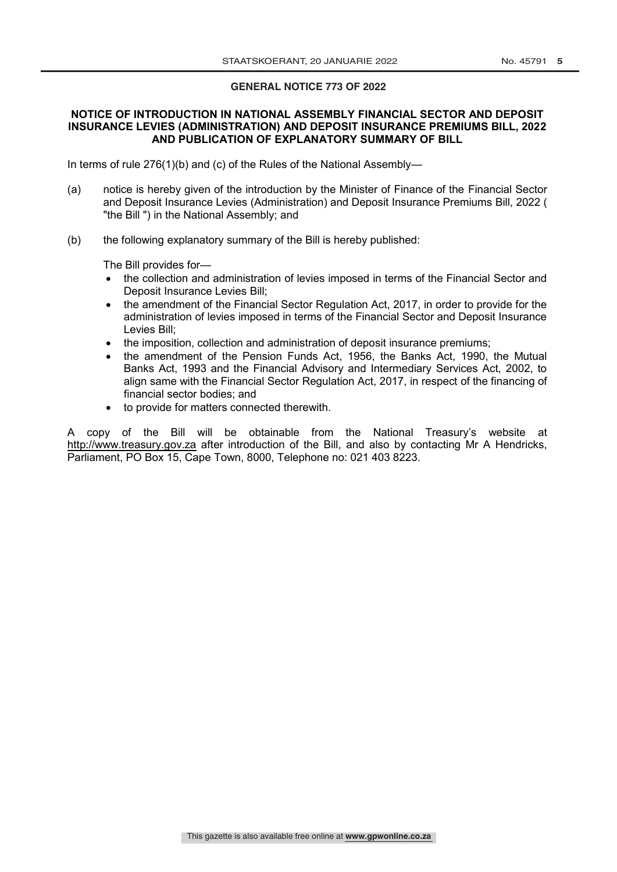#### **GENERAL NOTICE 773 OF 2022**

## **NOTICE OF INTRODUCTION IN NATIONAL ASSEMBLY FINANCIAL SECTOR AND DEPOSIT INSURANCE LEVIES (ADMINISTRATION) AND DEPOSIT INSURANCE PREMIUMS BILL, 2022 AND PUBLICATION OF EXPLANATORY SUMMARY OF BILL**

In terms of rule 276(1)(b) and (c) of the Rules of the National Assembly—

- (a) notice is hereby given of the introduction by the Minister of Finance of the Financial Sector and Deposit Insurance Levies (Administration) and Deposit Insurance Premiums Bill, 2022 ( "the Bill ") in the National Assembly; and
- (b) the following explanatory summary of the Bill is hereby published:

The Bill provides for—

- the collection and administration of levies imposed in terms of the Financial Sector and Deposit Insurance Levies Bill;
- the amendment of the Financial Sector Regulation Act, 2017, in order to provide for the administration of levies imposed in terms of the Financial Sector and Deposit Insurance Levies Bill;
- the imposition, collection and administration of deposit insurance premiums;
- the amendment of the Pension Funds Act, 1956, the Banks Act, 1990, the Mutual Banks Act, 1993 and the Financial Advisory and Intermediary Services Act, 2002, to align same with the Financial Sector Regulation Act, 2017, in respect of the financing of financial sector bodies; and
- to provide for matters connected therewith.

A copy of the Bill will be obtainable from the National Treasury's website at http://www.treasury.gov.za after introduction of the Bill, and also by contacting Mr A Hendricks, Parliament, PO Box 15, Cape Town, 8000, Telephone no: 021 403 8223.